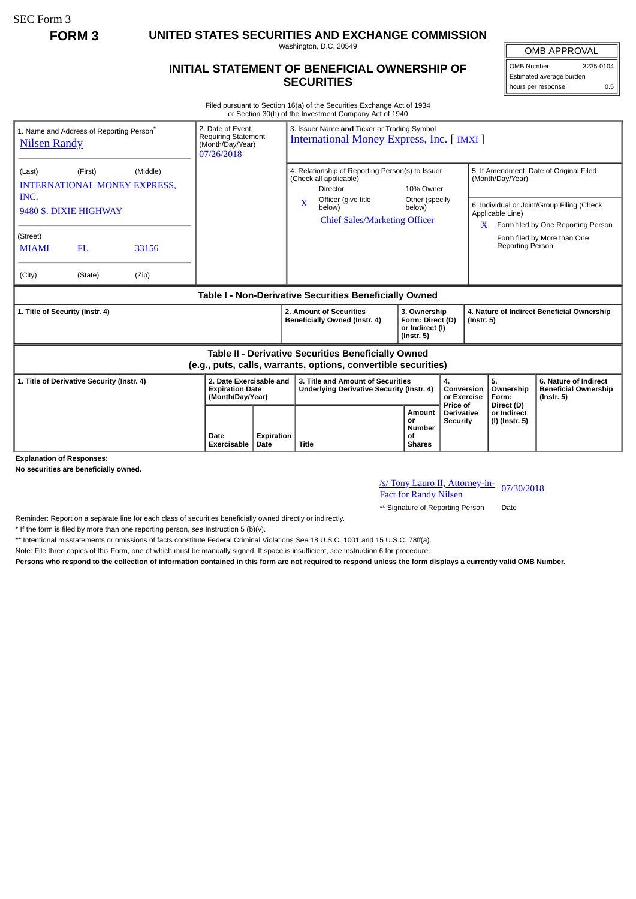SEC Form 3

**FORM 3 UNITED STATES SECURITIES AND EXCHANGE COMMISSION**

Washington, D.C. 20549

## **INITIAL STATEMENT OF BENEFICIAL OWNERSHIP OF SECURITIES**

OMB APPROVAL OMB Number: 3235-0104 Estimated average burden

hours per response: 0.5

Filed pursuant to Section 16(a) of the Securities Exchange Act of 1934 or Section 30(h) of the Investment Company Act of 1940

| 1. Name and Address of Reporting Person <sup>®</sup><br><b>Nilsen Randy</b>                                           |         |       | 2. Date of Event<br><b>Requiring Statement</b><br>(Month/Day/Year)<br>07/26/2018 |                    | 3. Issuer Name and Ticker or Trading Symbol<br><b>International Money Express, Inc. [IMXI]</b>                                      |                                      |                                                      |                                                                |                                                                                                          |                                                                          |  |
|-----------------------------------------------------------------------------------------------------------------------|---------|-------|----------------------------------------------------------------------------------|--------------------|-------------------------------------------------------------------------------------------------------------------------------------|--------------------------------------|------------------------------------------------------|----------------------------------------------------------------|----------------------------------------------------------------------------------------------------------|--------------------------------------------------------------------------|--|
| (First)<br>(Middle)<br>(Last)<br><b>INTERNATIONAL MONEY EXPRESS,</b><br>INC.                                          |         |       |                                                                                  |                    | 4. Relationship of Reporting Person(s) to Issuer<br>(Check all applicable)<br>Director<br>Officer (give title                       |                                      | 10% Owner<br>Other (specify                          |                                                                | 5. If Amendment, Date of Original Filed<br>(Month/Day/Year)                                              |                                                                          |  |
| 9480 S. DIXIE HIGHWAY                                                                                                 |         |       |                                                                                  |                    | $\mathbf{X}$<br>below)                                                                                                              | <b>Chief Sales/Marketing Officer</b> | below)                                               |                                                                | 6. Individual or Joint/Group Filing (Check<br>Applicable Line)<br>$X$ Form filed by One Reporting Person |                                                                          |  |
| (Street)<br><b>MIAMI</b>                                                                                              | FL.     | 33156 |                                                                                  |                    |                                                                                                                                     |                                      |                                                      |                                                                | <b>Reporting Person</b>                                                                                  | Form filed by More than One                                              |  |
| (City)                                                                                                                | (State) | (Zip) |                                                                                  |                    |                                                                                                                                     |                                      |                                                      |                                                                |                                                                                                          |                                                                          |  |
| Table I - Non-Derivative Securities Beneficially Owned                                                                |         |       |                                                                                  |                    |                                                                                                                                     |                                      |                                                      |                                                                |                                                                                                          |                                                                          |  |
| 1. Title of Security (Instr. 4)                                                                                       |         |       |                                                                                  |                    | 2. Amount of Securities<br>3. Ownership<br>Beneficially Owned (Instr. 4)<br>Form: Direct (D)<br>or Indirect (I)<br>$($ lnstr. 5 $)$ |                                      |                                                      | 4. Nature of Indirect Beneficial Ownership<br>$($ lnstr. 5 $)$ |                                                                                                          |                                                                          |  |
| Table II - Derivative Securities Beneficially Owned<br>(e.g., puts, calls, warrants, options, convertible securities) |         |       |                                                                                  |                    |                                                                                                                                     |                                      |                                                      |                                                                |                                                                                                          |                                                                          |  |
| 1. Title of Derivative Security (Instr. 4)                                                                            |         |       | 2. Date Exercisable and<br><b>Expiration Date</b><br>(Month/Day/Year)            |                    | 3. Title and Amount of Securities<br><b>Underlying Derivative Security (Instr. 4)</b>                                               |                                      |                                                      | 4.<br>Conversion<br>or Exercise<br>Price of                    | 5.<br>Ownership<br>Form:                                                                                 | 6. Nature of Indirect<br><b>Beneficial Ownership</b><br>$($ Instr. 5 $)$ |  |
|                                                                                                                       |         |       | Date<br>Exercisable                                                              | Expiration<br>Date | Title                                                                                                                               |                                      | Amount<br>or<br><b>Number</b><br>Οf<br><b>Shares</b> | <b>Derivative</b><br><b>Security</b>                           | Direct (D)<br>or Indirect<br>(I) (Instr. 5)                                                              |                                                                          |  |

**Explanation of Responses:**

**No securities are beneficially owned.**

/s/ Tony Lauro II, Attorney-in-<u>Fact for Randy Nilsen</u> 07/30/2018

\*\* Signature of Reporting Person Date

Reminder: Report on a separate line for each class of securities beneficially owned directly or indirectly.

\* If the form is filed by more than one reporting person, *see* Instruction 5 (b)(v).

\*\* Intentional misstatements or omissions of facts constitute Federal Criminal Violations *See* 18 U.S.C. 1001 and 15 U.S.C. 78ff(a).

Note: File three copies of this Form, one of which must be manually signed. If space is insufficient, *see* Instruction 6 for procedure.

**Persons who respond to the collection of information contained in this form are not required to respond unless the form displays a currently valid OMB Number.**